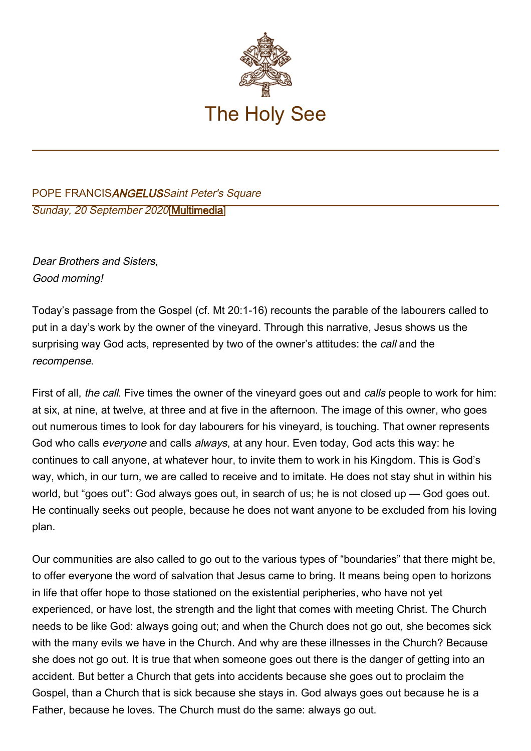

## POPE FRANCISANGELUSSaint Peter's Square Sunday, 20 September 2020[\[Multimedia](http://w2.vatican.va/content/francesco/en/events/event.dir.html/content/vaticanevents/en/2020/9/20/angelus.html)]

Dear Brothers and Sisters, Good morning!

Today's passage from the Gospel (cf. Mt 20:1-16) recounts the parable of the labourers called to put in a day's work by the owner of the vineyard. Through this narrative, Jesus shows us the surprising way God acts, represented by two of the owner's attitudes: the call and the recompense.

First of all, the call. Five times the owner of the vineyard goes out and calls people to work for him: at six, at nine, at twelve, at three and at five in the afternoon. The image of this owner, who goes out numerous times to look for day labourers for his vineyard, is touching. That owner represents God who calls everyone and calls always, at any hour. Even today, God acts this way: he continues to call anyone, at whatever hour, to invite them to work in his Kingdom. This is God's way, which, in our turn, we are called to receive and to imitate. He does not stay shut in within his world, but "goes out": God always goes out, in search of us; he is not closed up — God goes out. He continually seeks out people, because he does not want anyone to be excluded from his loving plan.

Our communities are also called to go out to the various types of "boundaries" that there might be, to offer everyone the word of salvation that Jesus came to bring. It means being open to horizons in life that offer hope to those stationed on the existential peripheries, who have not yet experienced, or have lost, the strength and the light that comes with meeting Christ. The Church needs to be like God: always going out; and when the Church does not go out, she becomes sick with the many evils we have in the Church. And why are these illnesses in the Church? Because she does not go out. It is true that when someone goes out there is the danger of getting into an accident. But better a Church that gets into accidents because she goes out to proclaim the Gospel, than a Church that is sick because she stays in. God always goes out because he is a Father, because he loves. The Church must do the same: always go out.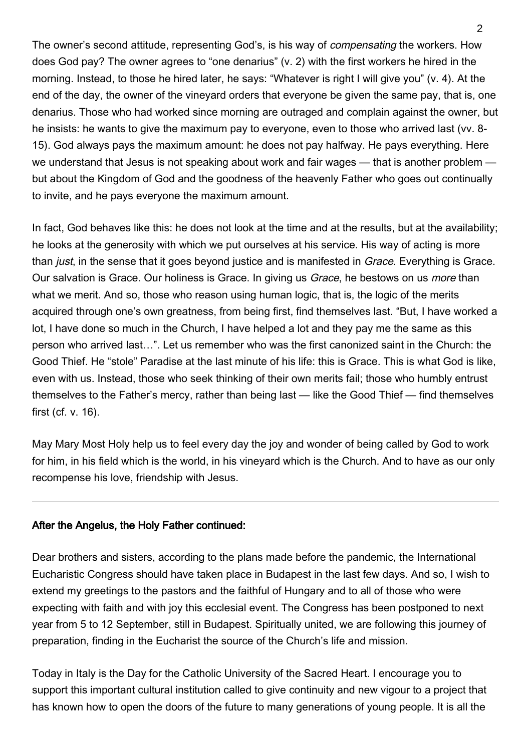The owner's second attitude, representing God's, is his way of compensating the workers. How does God pay? The owner agrees to "one denarius" (v. 2) with the first workers he hired in the morning. Instead, to those he hired later, he says: "Whatever is right I will give you" (v. 4). At the end of the day, the owner of the vineyard orders that everyone be given the same pay, that is, one denarius. Those who had worked since morning are outraged and complain against the owner, but he insists: he wants to give the maximum pay to everyone, even to those who arrived last (vv. 8- 15). God always pays the maximum amount: he does not pay halfway. He pays everything. Here we understand that Jesus is not speaking about work and fair wages — that is another problem but about the Kingdom of God and the goodness of the heavenly Father who goes out continually to invite, and he pays everyone the maximum amount.

In fact, God behaves like this: he does not look at the time and at the results, but at the availability; he looks at the generosity with which we put ourselves at his service. His way of acting is more than *just*, in the sense that it goes beyond justice and is manifested in *Grace*. Everything is Grace. Our salvation is Grace. Our holiness is Grace. In giving us Grace, he bestows on us *more* than what we merit. And so, those who reason using human logic, that is, the logic of the merits acquired through one's own greatness, from being first, find themselves last. "But, I have worked a lot, I have done so much in the Church, I have helped a lot and they pay me the same as this person who arrived last…". Let us remember who was the first canonized saint in the Church: the Good Thief. He "stole" Paradise at the last minute of his life: this is Grace. This is what God is like, even with us. Instead, those who seek thinking of their own merits fail; those who humbly entrust themselves to the Father's mercy, rather than being last — like the Good Thief — find themselves first (cf. v. 16).

May Mary Most Holy help us to feel every day the joy and wonder of being called by God to work for him, in his field which is the world, in his vineyard which is the Church. And to have as our only recompense his love, friendship with Jesus.

## After the Angelus, the Holy Father continued:

Dear brothers and sisters, according to the plans made before the pandemic, the International Eucharistic Congress should have taken place in Budapest in the last few days. And so, I wish to extend my greetings to the pastors and the faithful of Hungary and to all of those who were expecting with faith and with joy this ecclesial event. The Congress has been postponed to next year from 5 to 12 September, still in Budapest. Spiritually united, we are following this journey of preparation, finding in the Eucharist the source of the Church's life and mission.

Today in Italy is the Day for the Catholic University of the Sacred Heart. I encourage you to support this important cultural institution called to give continuity and new vigour to a project that has known how to open the doors of the future to many generations of young people. It is all the